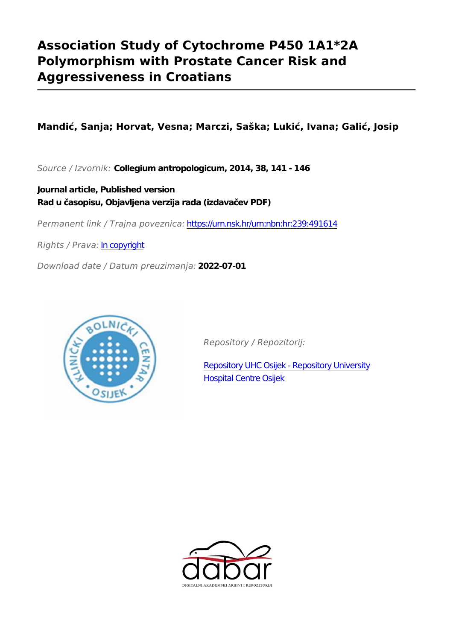# **Association Study of Cytochrome P450 1A1\*2A Polymorphism with Prostate Cancer Risk and Aggressiveness in Croatians**

**Mandić, Sanja; Horvat, Vesna; Marczi, Saška; Lukić, Ivana; Galić, Josip**

*Source / Izvornik:* **Collegium antropologicum, 2014, 38, 141 - 146**

**Journal article, Published version Rad u časopisu, Objavljena verzija rada (izdavačev PDF)**

*Permanent link / Trajna poveznica:* <https://urn.nsk.hr/urn:nbn:hr:239:491614>

*Rights / Prava:* [In copyright](http://rightsstatements.org/vocab/InC/1.0/)

*Download date / Datum preuzimanja:* **2022-07-01**



*Repository / Repozitorij:*

[Repository UHC Osijek - Repository University](https://repozitorij.kbco.hr) [Hospital Centre Osijek](https://repozitorij.kbco.hr)

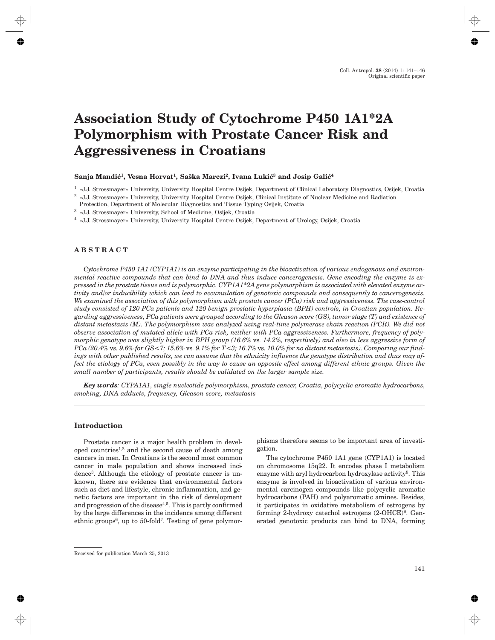# **Association Study of Cytochrome P450 1A1\*2A Polymorphism with Prostate Cancer Risk and Aggressiveness in Croatians**

### Sanja Mandić<sup>1</sup>, Vesna Horvat<sup>1</sup>, Saška Marczi<sup>2</sup>, Ivana Lukić<sup>3</sup> and Josip Galić<sup>4</sup>

<sup>1</sup> »J.J. Strossmayer« University, University Hospital Centre Osijek, Department of Clinical Laboratory Diagnostics, Osijek, Croatia

- Protection, Department of Molecular Diagnostics and Tissue Typing Osijek, Croatia
- <sup>3</sup> »J.J. Strossmayer« University, School of Medicine, Osijek, Croatia
- <sup>4</sup> »J.J. Strossmayer« University, University Hospital Centre Osijek, Department of Urology, Osijek, Croatia

# **ABSTRACT**

*Cytochrome P450 1A1 (CYP1A1) is an enzyme participating in the bioactivation of various endogenous and environmental reactive compounds that can bind to DNA and thus induce cancerogenesis. Gene encoding the enzyme is expressed in the prostate tissue and is polymorphic. CYP1A1\*2A gene polymorphism is associated with elevated enzyme activity and/or inducibility which can lead to accumulation of genotoxic compounds and consequently to cancerogenesis. We examined the association of this polymorphism with prostate cancer (PCa) risk and aggressiveness. The case-control study consisted of 120 PCa patients and 120 benign prostatic hyperplasia (BPH) controls, in Croatian population. Regarding aggressiveness, PCa patients were grouped according to the Gleason score (GS), tumor stage (T) and existence of distant metastasis (M). The polymorphism was analyzed using real-time polymerase chain reaction (PCR). We did not observe association of mutated allele with PCa risk, neither with PCa aggressiveness. Furthermore, frequency of polymorphic genotype was slightly higher in BPH group (16.6%* vs*. 14.2%, respectively) and also in less aggressive form of PCa (20.4%* vs*. 9.6% for GS<7; 15.6%* vs*. 9.1% for T<3; 16.7%* vs*. 10.0% for no distant metastasis). Comparing our findings with other published results, we can assume that the ethnicity influence the genotype distribution and thus may affect the etiology of PCa, even possibly in the way to cause an opposite effect among different ethnic groups. Given the small number of participants, results should be validated on the larger sample size.*

*Key words: CYPA1A1, single nucleotide polymorphism, prostate cancer, Croatia, polycyclic aromatic hydrocarbons, smoking, DNA adducts, frequency, Gleason score, metastasis*

#### **Introduction**

Prostate cancer is a major health problem in developed countries1,2 and the second cause of death among cancers in men. In Croatians is the second most common cancer in male population and shows increased incidence3. Although the etiology of prostate cancer is unknown, there are evidence that environmental factors such as diet and lifestyle, chronic inflammation, and genetic factors are important in the risk of development and progression of the disease<sup>4,5</sup>. This is partly confirmed by the large differences in the incidence among different ethnic groups<sup>6</sup>, up to 50-fold<sup>7</sup>. Testing of gene polymorphisms therefore seems to be important area of investigation.

The cytochrome P450 1A1 gene (CYP1A1) is located on chromosome 15q22. It encodes phase I metabolism enzyme with aryl hydrocarbon hydroxylase activity<sup>8</sup>. This enzyme is involved in bioactivation of various environmental carcinogen compounds like polycyclic aromatic hydrocarbons (PAH) and polyaromatic amines. Besides, it participates in oxidative metabolism of estrogens by forming 2-hydroxy catechol estrogens  $(2\text{-OHCE})^8$ . Generated genotoxic products can bind to DNA, forming

 $^2$  »J.J. Strossmaver« University, University Hospital Centre Osijek, Clinical Institute of Nuclear Medicine and Radiation

Received for publication March 25, 2013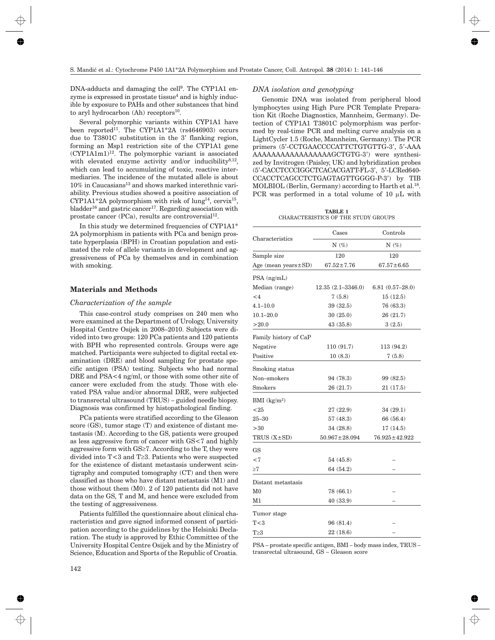DNA-adducts and damaging the cell<sup>9</sup>. The CYP1A1 enzyme is expressed in prostate tissue<sup>4</sup> and is highly inducible by exposure to PAHs and other substances that bind to aryl hydrocarbon (Ah) receptors<sup>10</sup>.

Several polymorphic variants within CYP1A1 have been reported<sup>11</sup>. The CYP1A1\*2A (rs4646903) occurs due to T3801C substitution in the 3' flanking region, forming an Msp1 restriction site of the CYP1A1 gene  $(CYP1A1m1)<sup>12</sup>$ . The polymorphic variant is associated with elevated enzyme activity and/or inducibility $8,12$ , which can lead to accumulating of toxic, reactive intermediaries. The incidence of the mutated allele is about  $10\%$  in Caucasians<sup>13</sup> and shows marked interethnic variability. Previous studies showed a positive association of CYP1A1\*2A polymorphism with risk of lung<sup>14</sup>, cervix<sup>15</sup>, bladder<sup>16</sup> and gastric cancer<sup>17</sup>. Regarding association with prostate cancer  $(PCa)$ , results are controversial<sup>12</sup>.

In this study we determined frequencies of CYP1A1\* 2A polymorphism in patients with PCa and benign prostate hyperplasia (BPH) in Croatian population and estimated the role of allele variants in development and aggressiveness of PCa by themselves and in combination with smoking.

## **Materials and Methods**

#### *Characterization of the sample*

This case-control study comprises on 240 men who were examined at the Department of Urology, University Hospital Centre Osijek in 2008–2010. Subjects were divided into two groups: 120 PCa patients and 120 patients with BPH who represented controls. Groups were age matched. Participants were subjected to digital rectal examination (DRE) and blood sampling for prostate specific antigen (PSA) testing. Subjects who had normal DRE and PSA<4 ng/ml, or those with some other site of cancer were excluded from the study. Those with elevated PSA value and/or abnormal DRE, were subjected to transrectal ultrasound (TRUS) – guided needle biopsy. Diagnosis was confirmed by histopathological finding.

PCa patients were stratified according to the Gleason score (GS), tumor stage (T) and existence of distant metastasis (M). According to the GS, patients were grouped as less aggressive form of cancer with GS<7 and highly aggressive form with  $GS \geq 7$ . According to the T, they were divided into  $T<3$  and  $T\geq3$ . Patients who were suspected for the existence of distant metastasis underwent scintigraphy and computed tomography (CT) and then were classified as those who have distant metastasis (M1) and those without them (M0). 2 of 120 patients did not have data on the GS, T and M, and hence were excluded from the testing of aggressiveness.

Patients fulfilled the questionnaire about clinical characteristics and gave signed informed consent of participation according to the guidelines by the Helsinki Declaration. The study is approved by Ethic Committee of the University Hospital Centre Osijek and by the Ministry of Science, Education and Sports of the Republic of Croatia.

#### *DNA isolation and genotyping*

Genomic DNA was isolated from peripheral blood lymphocytes using High Pure PCR Template Preparation Kit (Roche Diagnostics, Mannheim, Germany). Detection of CYP1A1 T3801C polymorphism was performed by real-time PCR and melting curve analysis on a LightCycler 1.5 (Roche, Mannheim, Germany). The PCR primers (5'-CCTGAACCCCATTCTGTGTTG-3', 5'-AAA AAAAAAAAAAAAAAAAAGCTGTG-3') were synthesized by Invitrogen (Paisley, UK) and hybridization probes (5'-CACCTCCCIGGCTCACACGATT-FL-3', 5'-LCRed640- CCACCTCAGCCTCTGAGTAGTTGGGG-P-3') by TIB MOLBIOL (Berlin, Germany) according to Harth et al.<sup>18</sup>. PCR was performed in a total volume of 10  $\mu$ L with

**TABLE 1** CHARACTERISTICS OF THE STUDY GROUPS

|                           | Cases                 | Controls          |  |
|---------------------------|-----------------------|-------------------|--|
| Characteristics           | $N(\%)$               | $N(\%)$           |  |
| Sample size               | 120                   | 120               |  |
| Age (mean years $\pm$ SD) | $67.52 \pm 7.76$      | $67.57 \pm 6.65$  |  |
| $PSA$ (ng/mL)             |                       |                   |  |
| Median (range)            | $12.35(2.1 - 3346.0)$ | $6.81(0.57-28.0)$ |  |
| $\leq 4$                  | 7(5.8)                | 15(12.5)          |  |
| $4.1 - 10.0$              | 39 (32.5)             | 76(63.3)          |  |
| $10.1 - 20.0$             | 30(25.0)              | 26(21.7)          |  |
| >20.0                     | 43(35.8)              | 3(2.5)            |  |
| Family history of CaP     |                       |                   |  |
| Negative                  | 110 (91.7)            | 113 (94.2)        |  |
| Positive                  | 10(8.3)               | 7(5.8)            |  |
| Smoking status            |                       |                   |  |
| Non-smokers               | 94 (78.3)             | 99 (82.5)         |  |
| <b>Smokers</b>            | 26 (21.7)             | 21(17.5)          |  |
| BMI $(kg/m2)$             |                       |                   |  |
| < 25                      | 27(22.9)              | 34(29.1)          |  |
| $25 - 30$                 | 57(48.3)              | 66 (56.4)         |  |
| >30                       | 34 (28.8)             | 17(14.5)          |  |
| TRUS $(X \pm SD)$         | $50.967 \pm 28.094$   | 76.925±42.922     |  |
| <b>GS</b>                 |                       |                   |  |
| < 7                       | 54 (45.8)             |                   |  |
| ${\geq}7$                 | 64 (54.2)             |                   |  |
| Distant metastasis        |                       |                   |  |
| $_{\rm M0}$               | 78 (66.1)             |                   |  |
| M1                        | 40(33.9)              |                   |  |
| Tumor stage               |                       |                   |  |
| T<3                       | 96 (81.4)             |                   |  |
| $T \geq 3$                | 22 (18.6)             |                   |  |

PSA – prostate specific antigen, BMI – body mass index, TRUS – transrectal ultrasound, GS – Gleason score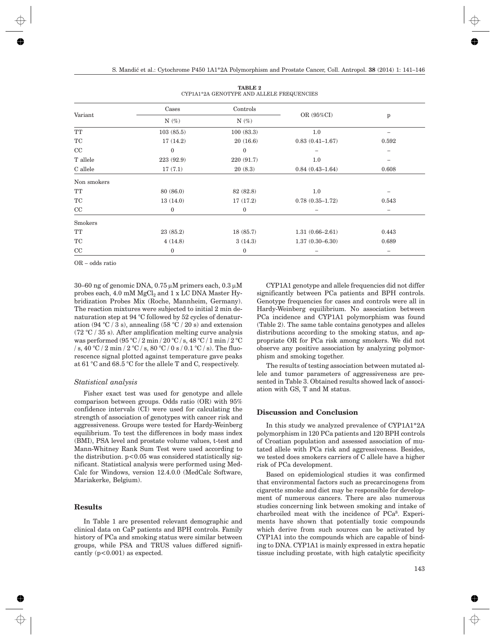| Variant             | Cases        | Controls     |                     | p     |
|---------------------|--------------|--------------|---------------------|-------|
|                     | $N(\%)$      | $N(\%)$      | OR (95%CI)          |       |
| $\operatorname{TT}$ | 103(85.5)    | 100(83.3)    | 1.0                 |       |
| TC                  | 17(14.2)     | 20(16.6)     | $0.83(0.41 - 1.67)$ | 0.592 |
| CC                  | $\bf{0}$     | $\bf{0}$     |                     |       |
| T allele            | 223 (92.9)   | 220 (91.7)   | 1.0                 |       |
| C allele            | 17(7.1)      | 20(8.3)      | $0.84(0.43 - 1.64)$ | 0.608 |
| Non smokers         |              |              |                     |       |
| $\operatorname{TT}$ | 80 (86.0)    | 82 (82.8)    | 1.0                 |       |
| $\operatorname{TC}$ | 13(14.0)     | 17(17.2)     | $0.78(0.35 - 1.72)$ | 0.543 |
| $\rm CC$            | $\mathbf{0}$ | $\bf{0}$     |                     |       |
| Smokers             |              |              |                     |       |
| TT                  | 23(85.2)     | 18(85.7)     | $1.31(0.66 - 2.61)$ | 0.443 |
| TC                  | 4(14.8)      | 3(14.3)      | $1.37(0.30 - 6.30)$ | 0.689 |
| CC                  | $\mathbf{0}$ | $\mathbf{0}$ |                     |       |

| <b>TABLE 2</b>                            |  |  |  |  |  |  |
|-------------------------------------------|--|--|--|--|--|--|
| CYP1A1*2A GENOTYPE AND ALLELE FREQUENCIES |  |  |  |  |  |  |

OR – odds ratio

 $30-60$  ng of genomic DNA,  $0.75 \mu$ M primers each,  $0.3 \mu$ M probes each,  $4.0 \text{ mM MgCl}_2$  and  $1 \text{ x LC DNA Master Hy-}$ bridization Probes Mix (Roche, Mannheim, Germany). The reaction mixtures were subjected to initial 2 min denaturation step at 94 °C followed by 52 cycles of denaturation  $(94 \text{ °C} / 3 \text{ s})$ , annealing  $(58 \text{ °C} / 20 \text{ s})$  and extension  $(72 \text{ °C} / 35 \text{ s})$ . After amplification melting curve analysis was performed (95 °C / 2 min / 20 °C / s, 48 °C / 1 min / 2 °C / s, 40 °C / 2 min / 2 °C / s, 80 °C / 0 s / 0.1 °C / s). The fluorescence signal plotted against temperature gave peaks at 61 °C and 68.5 °C for the allele T and C, respectively.

### *Statistical analysis*

Fisher exact test was used for genotype and allele comparison between groups. Odds ratio (OR) with 95% confidence intervals (CI) were used for calculating the strength of association of genotypes with cancer risk and aggressiveness. Groups were tested for Hardy-Weinberg equilibrium. To test the differences in body mass index (BMI), PSA level and prostate volume values, t-test and Mann-Whitney Rank Sum Test were used according to the distribution.  $p<0.05$  was considered statistically significant. Statistical analysis were performed using Med-Calc for Windows, version 12.4.0.0 (MedCalc Software, Mariakerke, Belgium).

# **Results**

In Table 1 are presented relevant demographic and clinical data on CaP patients and BPH controls. Family history of PCa and smoking status were similar between groups, while PSA and TRUS values differed significantly  $(p<0.001)$  as expected.

CYP1A1 genotype and allele frequencies did not differ significantly between PCa patients and BPH controls. Genotype frequencies for cases and controls were all in Hardy-Weinberg equilibrium. No association between PCa incidence and CYP1A1 polymorphism was found (Table 2). The same table contains genotypes and alleles distributions according to the smoking status, and appropriate OR for PCa risk among smokers. We did not observe any positive association by analyzing polymorphism and smoking together.

The results of testing association between mutated allele and tumor parameters of aggressiveness are presented in Table 3. Obtained results showed lack of association with GS, T and M status.

# **Discussion and Conclusion**

In this study we analyzed prevalence of CYP1A1\*2A polymorphism in 120 PCa patients and 120 BPH controls of Croatian population and assessed association of mutated allele with PCa risk and aggressiveness. Besides, we tested does smokers carriers of C allele have a higher risk of PCa development.

Based on epidemiological studies it was confirmed that environmental factors such as precarcinogens from cigarette smoke and diet may be responsible for development of numerous cancers. There are also numerous studies concerning link between smoking and intake of charbroiled meat with the incidence of PCa8. Experiments have shown that potentially toxic compounds which derive from such sources can be activated by CYP1A1 into the compounds which are capable of binding to DNA. CYP1A1 is mainly expressed in extra hepatic tissue including prostate, with high catalytic specificity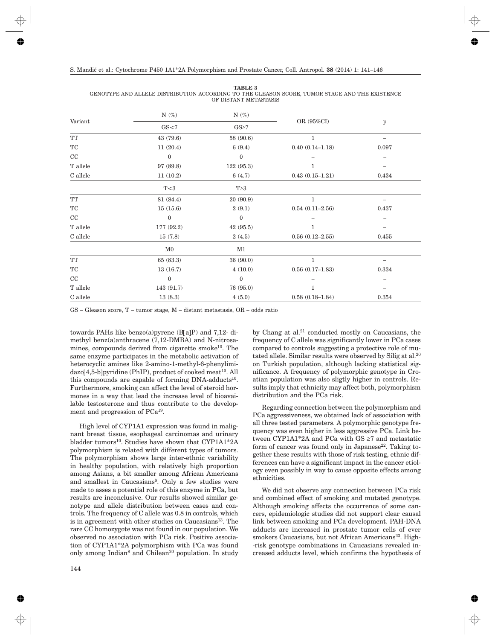**TABLE 3** GENOTYPE AND ALLELE DISTRIBUTION ACCORDING TO THE GLEASON SCORE, TUMOR STAGE AND THE EXISTENCE OF DISTANT METASTASIS

| Variant                          | $N(\%)$          | $N(\%)$          |                     | p     |  |
|----------------------------------|------------------|------------------|---------------------|-------|--|
|                                  | GS<7             | $GS \geq 7$      | OR (95%CI)          |       |  |
| $\operatorname{TT}$              | 43 (79.6)        | 58 (90.6)        | $\mathbf{1}$        |       |  |
| $\protect\operatorname{TC}$      | 11(20.4)         | 6(9.4)           | $0.40(0.14 - 1.18)$ | 0.097 |  |
| CC                               | $\boldsymbol{0}$ | $\boldsymbol{0}$ |                     |       |  |
| $\ensuremath{\mathrm{T}}$ allele | 97 (89.8)        | 122 (95.3)       |                     |       |  |
| $\mathbf C$ allele               | 11(10.2)         | 6(4.7)           | $0.43(0.15 - 1.21)$ | 0.434 |  |
|                                  | T<3              | $T \geq 3$       |                     |       |  |
| TT                               | 81 (84.4)        | 20(90.9)         | 1                   |       |  |
| TC                               | 15(15.6)         | 2(9.1)           | $0.54(0.11-2.56)$   | 0.437 |  |
| CC                               | $\boldsymbol{0}$ | $\boldsymbol{0}$ |                     |       |  |
| T allele                         | 177 (92.2)       | 42(95.5)         | 1                   |       |  |
| C allele                         | 15(7.8)          | 2(4.5)           | $0.56(0.12 - 2.55)$ | 0.455 |  |
|                                  | M <sub>0</sub>   | M1               |                     |       |  |
| $\operatorname{TT}$              | 65(83.3)         | 36 (90.0)        | $\mathbf{1}$        | -     |  |
| TC                               | 13(16.7)         | 4(10.0)          | $0.56(0.17-1.83)$   | 0.334 |  |
| CC                               | $\boldsymbol{0}$ | $\boldsymbol{0}$ |                     |       |  |
| $\ensuremath{\mathrm{T}}$ allele | 143 (91.7)       | 76 (95.0)        |                     |       |  |
| C allele                         | 13(8.3)          | 4(5.0)           | $0.58(0.18 - 1.84)$ | 0.354 |  |
|                                  |                  |                  |                     |       |  |

GS – Gleason score, T – tumor stage, M – distant metastasis, OR – odds ratio

towards PAHs like benzo(a)pyrene (B[a]P) and 7,12- dimethyl benz(a)anthracene (7,12-DMBA) and N-nitrosamines, compounds derived from cigarette smoke<sup>10</sup>. The same enzyme participates in the metabolic activation of heterocyclic amines like 2-amino-1-methyl-6-phenylimi $d$ azo[4,5-b]pyridine (PhIP), product of cooked meat<sup>10</sup>. All this compounds are capable of forming  $DNA$ -adducts<sup>10</sup>. Furthermore, smoking can affect the level of steroid hormones in a way that lead the increase level of bioavailable testosterone and thus contribute to the development and progression of PCa19.

High level of CYP1A1 expression was found in malignant breast tissue, esophageal carcinomas and urinary bladder tumors<sup>10</sup>. Studies have shown that CYP1A1\*2A polymorphism is related with different types of tumors. The polymorphism shows large inter-ethnic variability in healthy population, with relatively high proportion among Asians, a bit smaller among African Americans and smallest in Caucasians<sup>8</sup>. Only a few studies were made to asses a potential role of this enzyme in PCa, but results are inconclusive. Our results showed similar genotype and allele distribution between cases and controls. The frequency of C allele was 0.8 in controls, which is in agreement with other studies on Caucasians<sup>13</sup>. The rare CC homozygote was not found in our population. We observed no association with PCa risk. Positive association of CYP1A1\*2A polymorphism with PCa was found only among Indian<sup>8</sup> and Chilean<sup>20</sup> population. In study by Chang at al.21 conducted mostly on Caucasians, the frequency of C allele was significantly lower in PCa cases compared to controls suggesting a protective role of mutated allele. Similar results were observed by Silig at al.<sup>20</sup> on Turkish population, although lacking statistical significance. A frequency of polymorphic genotype in Croatian population was also sligtly higher in controls. Results imply that ethnicity may affect both, polymorphism distribution and the PCa risk.

Regarding connection between the polymorphism and PCa aggressiveness, we obtained lack of association with all three tested parameters. A polymorphic genotype frequency was even higher in less aggressive PCa. Link between CYP1A1\*2A and PCa with  $GS \geq 7$  and metastatic form of cancer was found only in Japanese<sup>22</sup>. Taking together these results with those of risk testing, ethnic differences can have a significant impact in the cancer etiology even possibly in way to cause opposite effects among ethnicities.

We did not observe any connection between PCa risk and combined effect of smoking and mutated genotype. Although smoking affects the occurrence of some cancers, epidemiologic studies did not support clear causal link between smoking and PCa development. PAH-DNA adducts are increased in prostate tumor cells of ever smokers Caucasians, but not African Americans<sup>23</sup>. High--risk genotype combinations in Caucasians revealed increased adducts level, which confirms the hypothesis of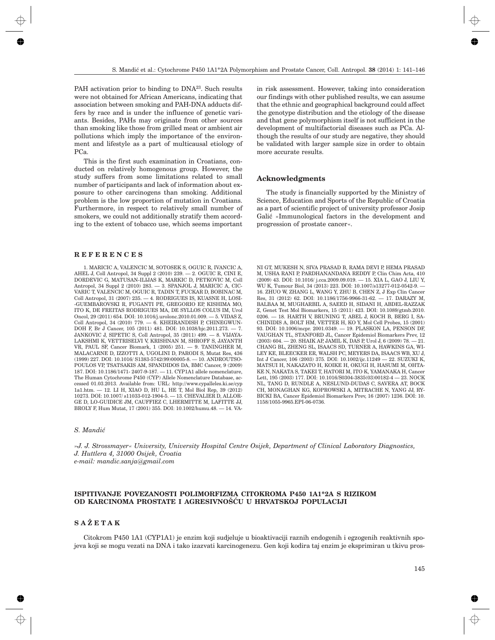PAH activation prior to binding to DNA<sup>23</sup>. Such results were not obtained for African Americans, indicating that association between smoking and PAH-DNA adducts differs by race and is under the influence of genetic variants. Besides, PAHs may originate from other sources than smoking like those from grilled meat or ambient air pollutions which imply the importance of the environment and lifestyle as a part of multicausal etiology of PCa.

This is the first such examination in Croatians, conducted on relatively homogenous group. However, the study suffers from some limitations related to small number of participants and lack of information about exposure to other carcinogens than smoking. Additional problem is the low proportion of mutation in Croatians. Furthermore, in respect to relatively small number of smokers, we could not additionally stratify them according to the extent of tobacco use, which seems important

#### **REFERENCES**

1. MARICIC A, VALENCIC M, SOTOSEK S, OGUIC R, IVANCIC A, AHEL J, Coll Antropol, 34 Suppl 2 (2010) 239. — 2. OGUIC R, CINI E, DORDEVIC G, MATUSAN-ILIJAS K, MARKIC D, PETKOVIC M, Coll Antropol, 34 Suppl 2 (2010) 283. — 3. SPANJOL J, MARICIC A, CIC-VARIC T, VALENCIC M, OGUIC R, TADIN T, FUCKAR D, BOBINAC M, Coll Antropol, 31 (2007) 235. — 4. RODRIGUES IS, KUASNE H, LOSI- -GUEMBAROVSKI R, FUGANTI PE, GREGORIO EP, KISHIMA MO, ITO K, DE FREITAS RODRIGUES MA, DE SYLLOS COLUS IM, Urol Oncol, 29 (2011) 654. DOI: 10.1016/j.urolonc.2010.01.009. — 5. VIDAS Z, Coll Antropol, 34 (2010) 779. — 6. KHEIRANDISH P, CHINEGWUN-DOH F, Br J Cancer, 105 (2011) 481. DOI: 10.1038/bjc.2011.273. — 7. JANKOVIC J, SIPETIC S, Coll Antropol, 35 (2011) 499. — 8. VIJAYA-LAKSHMI K, VETTRISELVI V, KRISHNAN M, SHROFF S, JAYANTH VR, PAUL SF, Cancer Biomark, 1 (2005) 251. — 9. TANINGHER M, MALACARNE D, IZZOTTI A, UGOLINI D, PARODI S, Mutat Res, 436 (1999) 227. DOI: 10.1016/ S1383-5742(99)00005-8. — 10. ANDROUTSO-POULOS VP, TSATSAKIS AM, SPANDIDOS DA, BMC Cancer, 9 (2009) 187. DOI: 10.1186/1471- 2407-9-187. — 11. CYP1A1 allele nomenclature, The Human Cytochrome P450 (CYP) Allele Nomenclature Database, accessed 01.03.2013. Available from: URL: http://www.cypalleles.ki.se/cyp 1a1.htm. — 12. LI H, XIAO D, HU L, HE T, Mol Biol Rep, 39 (2012) 10273. DOI: 10.1007/ s11033-012-1904-5. — 13. CHEVALIER D, ALLOR-GE D, LO-GUIDICE JM, CAUFFIEZ C, LHERMITTE M, LAFITTE JJ, BROLY F, Hum Mutat, 17 (2001) 355. DOI: 10.1002/humu.48. — 14. VA-

in risk assessment. However, taking into consideration our findings with other published results, we can assume that the ethnic and geographical background could affect the genotype distribution and the etiology of the disease and that gene polymorphism itself is not sufficient in the development of multifactorial diseases such as PCa. Although the results of our study are negative, they should be validated with larger sample size in order to obtain more accurate results.

#### **Acknowledgments**

The study is financially supported by the Ministry of Science, Education and Sports of the Republic of Croatia as a part of scientific project of university professor Josip Galić »Immunological factors in the development and progression of prostate cancer«.

NI GT, MUKESH N, SIVA PRASAD B, RAMA DEVI P, HEMA PRASAD M, USHA RANI P, PARDHANANDANA REDDY P, Clin Chim Acta, 410 (2009) 43. DOI: 10.1016/ j.cca.2009.09.019. — 15. XIA L, GAO J, LIU Y, WU K, Tumour Biol, 34 (2013) 223. DOI: 10.1007/s13277-012-0542-9. — 16. ZHUO W, ZHANG L, WANG Y, ZHU B, CHEN Z, J Exp Clin Cancer Res, 31 (2012) 62. DOI: 10.1186/1756-9966-31-62. — 17. DARAZY M, BALBAA M, MUGHARBIL A, SAEED H, SIDANI H, ABDEL-RAZZAK Z, Genet Test Mol Biomarkers, 15 (2011) 423. DOI: 10.1089/gtmb.2010. 0206. — 18. HARTH V, BRUNING T, ABEL J, KOCH B, BERG I, SA-CHINIDIS A, BOLT HM, VETTER H, KO Y, Mol Cell Probes, 15 (2001) 93. DOI: 10.1006/mcpr. 2001.0349. — 19. PLASKON LA, PENSON DF, VAUGHAN TL, STANFORD JL, Cancer Epidemiol Biomarkers Prev, 12 (2003) 604. — 20. SHAIK AP, JAMIL K, DAS P, Urol J, 6 (2009) 78. — 21. CHANG BL, ZHENG SL, ISAACS SD, TURNER A, HAWKINS GA, WI-LEY KE, BLEECKER ER, WALSH PC, MEYERS DA, ISAACS WB, XU J, Int J Cancer, 106 (2003) 375. DOI: 10.1002/ijc.11249 — 22. SUZUKI K, MATSUI H, NAKAZATO H, KOIKE H, OKUGI H, HASUMI M, OHTA-KE N, NAKATA S, TAKEI T, HATORI M, ITO K, YAMANAKA H, Cancer Lett, 195 (2003) 177. DOI: 10.1016/S0304-3835(03)00182-4 — 23. NOCK NL, TANG D, RUNDLE A, NESLUND-DUDAS C, SAVERA AT, BOCK CH, MONAGHAN KG, KOPROWSKI A, MITRACHE N, YANG JJ, RY-BICKI BA, Cancer Epidemiol Biomarkers Prev, 16 (2007) 1236. DOI: 10. 1158/1055-9965.EPI-06-0736.

### *S. Mandi}*

*»J. J. Strossmayer« University, University Hospital Centre Osijek, Department of Clinical Laboratory Diagnostics, J. Huttlera 4, 31000 Osijek, Croatia e-mail: mandic.sanja@gmail.com*

## **ISPITIVANJE POVEZANOSTI POLIMORFIZMA CITOKROMA P450 1A1\*2A S RIZIKOM OD KARCINOMA PROSTATE I AGRESIVNOŠĆU U HRVATSKOJ POPULACIJI**

# **SAŽETAK**

Citokrom P450 1A1 (CYP1A1) je enzim koji sudjeluje u bioaktivaciji raznih endogenih i egzogenih reaktivnih spojeva koji se mogu vezati na DNA i tako izazvati karcinogenezu. Gen koji kodira taj enzim je eksprimiran u tkivu pros